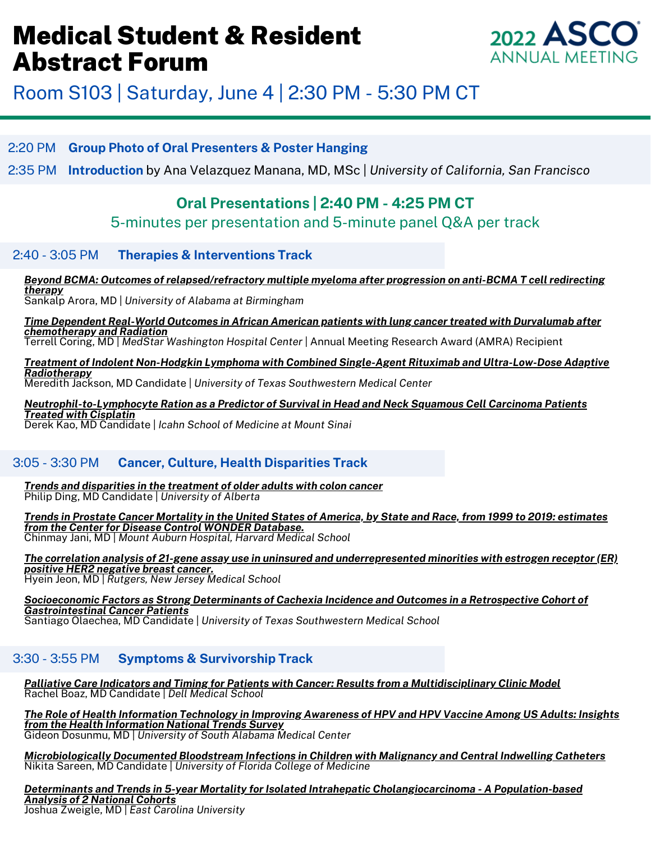

## Room S103 | Saturday, June 4 | 2:30 PM - 5:30 PM CT

#### 2:20 PM **Group Photo of Oral Presenters & Poster Hanging**

2:35 PM **Introduction** by Ana Velazquez Manana, MD, MSc | *University of California, San Francisco*

### **Oral Presentations | 2:40 PM - 4:25 PM CT**

5-minutes per presentation and 5-minute panel Q&A per track

#### 2:40 - 3:05 PM **Therapies & Interventions Track**

#### *Beyond BCMA: Outcomes of [relapsed/refractory](https://asco1.sharefile.com/d-s3a577ea40cb94c5499b9fd3296e79571) multiple myeloma after progression on anti-BCMA T cell redirecting therapy*

Sankalp Arora, MD | *University of Alabama at Birmingham*

*Time Dependent Real-World Outcomes in African American patients with lung cancer treated with Durvalumab after [chemotherapy](https://asco1.sharefile.com/d-s7e6e95b43ebf45748dd26534505c420a) and Radiation*

Terrell Coring, MD | *MedStar Washington Hospital Center* | Annual Meeting Research Award (AMRA) Recipient

*Treatment of Indolent Non-Hodgkin Lymphoma with Combined Single-Agent Rituximab and [Ultra-Low-Dose](https://asco1.sharefile.com/d-sea91e1ec8b7546b58702a954841da8b4) Adaptive Radiotherapy* Meredith Jackson, MD Candidate | *University of Texas Southwestern Medical Center*

*[Neutrophil-to-Lymphocyte](https://asco1.sharefile.com/d-s57e2ee1845274310a44be48c38b369dd) Ration as a Predictor of Survival in Head and Neck Squamous Cell Carcinoma Patients Treated with Cisplatin* Derek Kao, MD Candidate | *Icahn School of Medicine at Mount Sinai*

#### 3:05 - 3:30 PM **Cancer, Culture, Health Disparities Track**

*Trends and [disparities](https://asco1.sharefile.com/d-s0b0e8a722d184dfc909a568b0f471b6b) in the treatment of older adults with colon cancer* Philip Ding, MD Candidate | *University of Alberta*

Trends in Prostate Cancer Mortality in the United States of America, by State and Race, from 1999 to 2019: estimates *from the Center for Disease Control WONDER [Database.](https://asco1.sharefile.com/d-sdf0653fb8d6a49fdb58bd65beac66bd6)* Chinmay Jani, MD | *Mount Auburn Hospital, Harvard Medical School*

The correlation analysis of 21-gene assay use in uninsured and [underrepresented](https://asco1.sharefile.com/d-s159097a953a249689d118208f7f1ddc5) minorities with estrogen receptor (ER) *positive HER2 negative breast cancer.*

Hyein Jeon, MD | *Rutgers, New Jersey Medical School*

*Socioeconomic Factors as Strong Determinants of Cachexia Incidence and Outcomes in a Retrospective Cohort of [Gastrointestinal](https://asco1.sharefile.com/d-secdd1af6791e4e0a80e1554f3dd09c68) Cancer Patients* Santiago Olaechea, MD Candidate | *University of Texas Southwestern Medical School*

#### 3:30 - 3:55 PM **Symptoms & Survivorship Track**

*Palliative Care Indicators and Timing for Patients with Cancer: Results from a [Multidisciplinary](https://asco1.sharefile.com/d-scd2bacb9d1624c6c9978c94cb037594a) Clinic Model* Rachel Boaz, MD Candidate | *Dell Medical School*

The Role of Health [Information](https://asco1.sharefile.com/d-s2fbbc03ded6f40f1987e1ae0e1c25a58) Technology in Improving Awareness of HPV and HPV Vaccine Among US Adults: Insights *from the Health [Information](https://asco1.sharefile.com/d-s2fbbc03ded6f40f1987e1ae0e1c25a58) National Trends Survey* Gideon Dosunmu, MD | *University of South Alabama Medical Center*

*[Microbiologically](https://asco1.sharefile.com/d-sdf08a7dda7804094bbc09a60957fd21c) Documented Bloodstream Infections in Children with Malignancy and Central Indwelling Catheters* Nikita Sareen, MD Candidate | *University of Florida College of Medicine*

*Determinants and Trends in 5-year Mortality for Isolated Intrahepatic [Cholangiocarcinoma](https://asco1.sharefile.com/d-s6db3d583ae8945f6b9419ef747b9cc5d) - A Population-based Analysis of 2 National Cohorts* Joshua Zweigle, MD | *East Carolina University*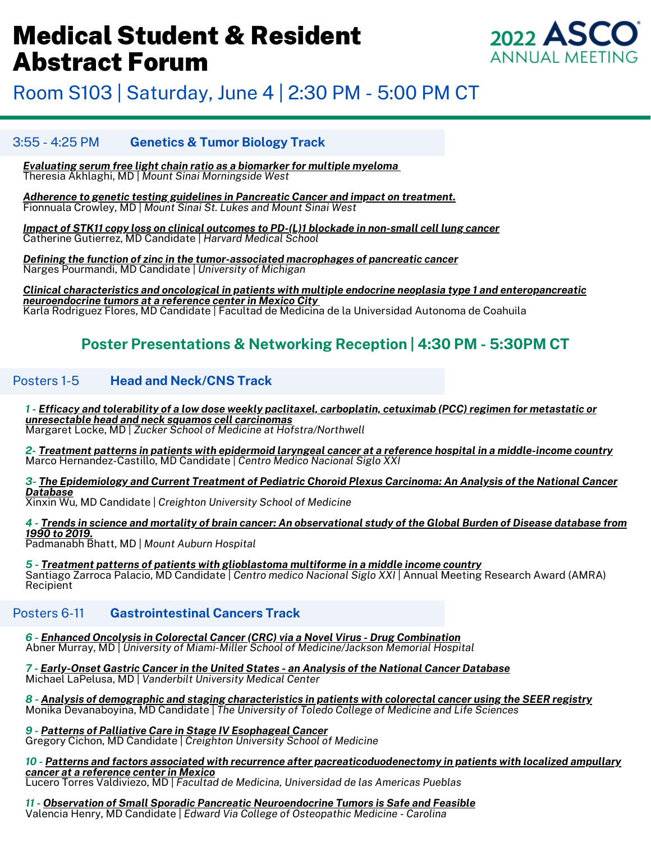

Room S103 | Saturday, June 4 | 2:30 PM - 5:00 PM CT

#### 3:55 - 4:25 PM **Genetics & Tumor Biology Track**

*[Evaluating](https://asco1.sharefile.com/d-sa323bc92b88946579da57dd0ee7636a9) serum free light chain ratio as a biomarker for multiple myeloma* Theresia Akhlaghi, MD | *Mount Sinai Morningside West*

*Adherence to genetic testing guidelines in [Pancreatic](https://asco1.sharefile.com/d-s9192cdd6d7974bb18e272fbc35166142) Cancer and impact on treatment.* Fionnuala Crowley, MD | *Mount Sinai St. Lukes and Mount Sinai West*

*Impact of STK11 copy loss on clinical outcomes to PD-(L)1 blockade in [non-small](https://asco1.sharefile.com/d-s9ae97b71677a4be696399ba46bbea90c) cell lung cancer* Catherine Gutierrez, MD Candidate | *Harvard Medical School*

*Defining the function of zinc in the [tumor-associated](https://asco1.sharefile.com/d-s1b40e4eb4c0049c286fce8bb81e7e598) macrophages of pancreatic cancer* Narges Pourmandi, MD Candidate | *University of Michigan*

C[l](https://asco1.sharefile.com/d-sb4b3db010aa745f89b02bb828381ce63)inical characteristics and oncological in patients with multiple endocrine neoplasia type 1 and [enteropancreatic](https://asco1.sharefile.com/d-sb4b3db010aa745f89b02bb828381ce63) *neuroendocrine tumors at a reference center in Mexico City* Karla Rodriguez Flores, MD Candidate | Facultad de Medicina de la Universidad Autonoma de Coahuila

### **Poster Presentations & Networking Reception | 4:30 PM - 5:30PM CT**

#### Posters 1-5 **Head and Neck/CNS Track**

1 - Efficacy and tolerability of a low dose weekly paclitaxel, [carboplatin,](https://asco1.sharefile.com/d-sbc69a8694578448a9ae32ad4ed6e5f46) cetuximab (PCC) regimen for metastatic or *[unresectable](https://asco1.sharefile.com/d-sbc69a8694578448a9ae32ad4ed6e5f46) head and neck squamos cell carcinomas* Margaret Locke, MD | *Zucker School of Medicine at Hofstra/Northwell*

<u>2- Treatment patterns in patients with epidermoid laryngeal cancer at a reference hospital in a [middle-income](https://asco1.sharefile.com/d-sa2c93b6c7e62489798f3ec7e2b073306) country</u> Marco Hernandez-Castillo, MD Candidate | *Centro Medico Nacional Siglo XXI*

3- The [Epidemiology](https://asco1.sharefile.com/d-se6e07344e41b4d4b9dece469cb15f275) and Current Treatment of Pediatric Choroid Plexus Carcinoma: An Analysis of the National Cancer *[Database](https://asco1.sharefile.com/d-se6e07344e41b4d4b9dece469cb15f275)*

Xinxin Wu, MD Candidate | *Creighton University School of Medicine*

4 - Trends in science and mortality of brain cancer: An [observational](https://asco1.sharefile.com/d-s78913eaef567440f8b4a9b0fcda33ad7) study of the Global Burden of Disease database from *1990 to [2019.](https://asco1.sharefile.com/d-s78913eaef567440f8b4a9b0fcda33ad7)*

Padmanabh Bhatt, MD | *Mount Auburn Hospital*

*5 - Treatment patterns of patients with [glioblastoma](https://asco1.sharefile.com/d-s669486ae6e57432293a0307ea02bfbd0) multiforme in a middle income country* Santiago Zarroca Palacio, MD Candidate | *Centro medico Nacional Siglo XXI* | Annual Meeting Research Award (AMRA) Recipient

#### Posters 6-11 **Gastrointestinal Cancers Track**

*6 - Enhanced Oncolysis in Colorectal Cancer (CRC) via a Novel Virus - Drug [Combination](https://asco1.sharefile.com/d-sa714446806ea4854b206166a7c2adc86)* Abner Murray, MD | *University of Miami-Miller School of Medicine/Jackson Memorial Hospital*

*7 - [Early-Onset](https://asco1.sharefile.com/d-s1ead8bc2c8b6452aa5935dfa65fad676) Gastric Cancer in the United States - an Analysis of the National Cancer Database* Michael LaPelusa, MD | *Vanderbilt University Medical Center*

8 - Analysis of demographic and staging [characteristics](https://asco1.sharefile.com/d-s365354af8bc64b4e9f7153fe805b5d2e) in patients with colorectal cancer using the SEER registry Monika Devanaboyina, MD Candidate | *The University of Toledo College of Medicine and Life Sciences*

*9 - Patterns of Palliative Care in Stage IV [Esophageal](https://asco1.sharefile.com/d-s1c9af8c19c7747529cd5df414ee25584) Cancer*

Gregory Cichon, MD Candidate | *Creighton University School of Medicine*

*10 - Patterns and factors associated with recurrence after [pacreaticoduodenectomy](https://asco1.sharefile.com/d-sba892b28fcce4557ad5c4fc8ecbbf2c7) in patients with localized ampullary cancer at a [reference](https://asco1.sharefile.com/d-sba892b28fcce4557ad5c4fc8ecbbf2c7) center in Mexico*

Lucero Torres Valdiviezo, MD | *Facultad de Medicina, Universidad de las Americas Pueblas*

*11 - Observation of Small Sporadic Pancreatic [Neuroendocrine](https://asco1.sharefile.com/d-s49664a456db0401685ad9d51870dc4d1) Tumors is Safe and Feasible* Valencia Henry, MD Candidate | *Edward Via College of Osteopathic Medicine - Carolina*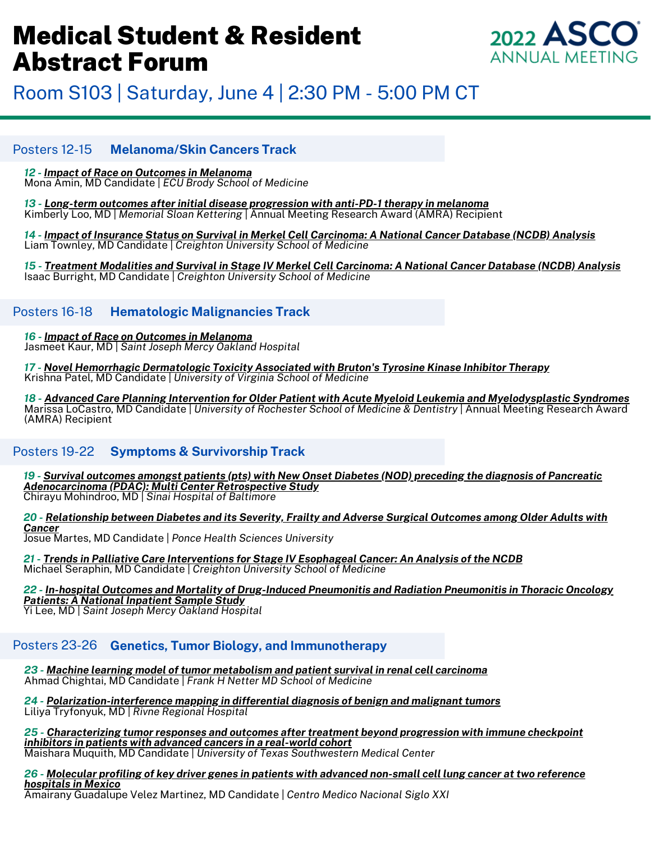

Room S103 | Saturday, June 4 | 2:30 PM - 5:00 PM CT

#### Posters 12-15 **Melanoma/Skin Cancers Track**

#### *12 - Impact of Race on Outcomes in [Melanoma](https://asco1.sharefile.com/d-s3c84c85c2f834e9088c397c658c4574c)*

Mona Amin, MD Candidate | *ECU Brody School of Medicine*

*13 - Long-term outcomes after initial disease [progression](https://asco1.sharefile.com/d-sb2c030c1b4794eb8bd2bfcc59f04d54d) with anti-PD-1 therapy in melanoma* Kimberly Loo, MD | *Memorial Sloan Kettering* | Annual Meeting Research Award (AMRA) Recipient

14 - Impact of Insurance Status on Survival in Merkel Cell [Carcinoma:](https://asco1.sharefile.com/d-s1d1dcf4703484b66a658cb5951a0f4c8) A National Cancer Database (NCDB) Analysis Liam Townley, MD Candidate | *Creighton University School of Medicine*

15 - Treatment Modalities and Survival in Stage IV Merkel Cell [Carcinoma:](https://asco1.sharefile.com/d-s88a5e51d5e9b4a15ab15d4c8b613c510) A National Cancer Database (NCDB) Analysis Isaac Burright, MD Candidate | *Creighton University School of Medicine*

#### Posters 16-18 **Hematologic Malignancies Track**

*16 - Impact of Race on Outcomes in [Melanoma](https://asco1.sharefile.com/d-s95e337b0596a4040a611dd5d9942b611)* Jasmeet Kaur, MD | *Saint Joseph Mercy Oakland Hospital*

*17 - Novel Hemorrhagic [Dermatologic](https://asco1.sharefile.com/d-s354b5ad57dd54e4eb91dd9248bec416a) Toxicity Associated with Bruton's Tyrosine Kinase Inhibitor Therapy* Krishna Patel, MD Candidate | *University of Virginia School of Medicine*

18 - Advanced Care Planning Intervention for Older Patient with Acute Myeloid Leukemia and [Myelodysplastic](https://asco1.sharefile.com/d-s6f0197883421475282ece45efbfd2170) Syndromes Marissa LoCastro, MD Candidate | *University of Rochester School of Medicine & Dentistry* | Annual Meeting Research Award (AMRA) Recipient

#### Posters 19-22 **Symptoms & Survivorship Track**

19 - Survival outcomes amongst patients (pts) with New Onset Diabetes (NOD) preceding the diagnosis of [Pancreatic](https://asco1.sharefile.com/d-s168d1cefda9e4e22b23d12176bbaaac8) *[Adenocarcinoma](https://asco1.sharefile.com/d-s168d1cefda9e4e22b23d12176bbaaac8) (PDAC): Multi Center Retrospective Study* Chirayu Mohindroo, MD | *Sinai Hospital of Baltimore*

20 - [Relationship](https://asco1.sharefile.com/d-saafeb1b95657452d8bc247272eca1b6a) between Diabetes and its Severity, Frailty and Adverse Surgical Outcomes among Older Adults with *[Cancer](https://asco1.sharefile.com/d-saafeb1b95657452d8bc247272eca1b6a)*

Josue Martes, MD Candidate | *Ponce Health Sciences University*

*21 - Trends in Palliative Care [Interventions](https://asco1.sharefile.com/d-sc0dea90e9b8042f78174c90610c2da19) for Stage IV Esophageal Cancer: An Analysis of the NCDB* Michael Seraphin, MD Candidate | *Creighton University School of Medicine*

*22 - In-hospital Outcomes and Mortality of [Drug-Induced](https://asco1.sharefile.com/d-s627530ea144f4fbabc18889ea8a024fb) Pneumonitis and Radiation Pneumonitis in Thoracic Oncology Patients: A National [Inpatient](https://asco1.sharefile.com/d-s627530ea144f4fbabc18889ea8a024fb) Sample Study*

Yi Lee, MD | *Saint Joseph Mercy Oakland Hospital*

### Posters 23-26 **Genetics, Tumor Biology, and Immunotherapy**

*23 - Machine learning model of tumor [metabolism](https://asco1.sharefile.com/d-s72b4746b937549ec893a42c12252b99d) and patient survival in renal cell carcinoma* Ahmad Chightai, MD Candidate | *Frank H Netter MD School of Medicine*

*24 - [Polarization-interference](https://asco1.sharefile.com/d-s183e2c077de342ffb154db0108ffc0ff) mapping in differential diagnosis of benign and malignant tumors* Liliya Tryfonyuk, MD | *Rivne Regional Hospital*

*25 - [Characterizing](https://asco1.sharefile.com/d-se9a11069f8224d0eb0d88a28f723d557) tumor responses and outcomes after treatment beyond progression with immune checkpoint inhibitors in patients with advanced cancers in a [real-world](https://asco1.sharefile.com/d-se9a11069f8224d0eb0d88a28f723d557) cohort*

Maishara Muquith, MD Candidate | *University of Texas Southwestern Medical Center*

26 - Molecular profiling of key driver genes in patients with advanced [non-small](https://asco1.sharefile.com/d-sc9776c3f76764821843238c637ba9368) cell lung cancer at two reference *[hospitals](https://asco1.sharefile.com/d-sc9776c3f76764821843238c637ba9368) in Mexico*

Amairany Guadalupe Velez Martinez, MD Candidate | *Centro Medico Nacional Siglo XXI*